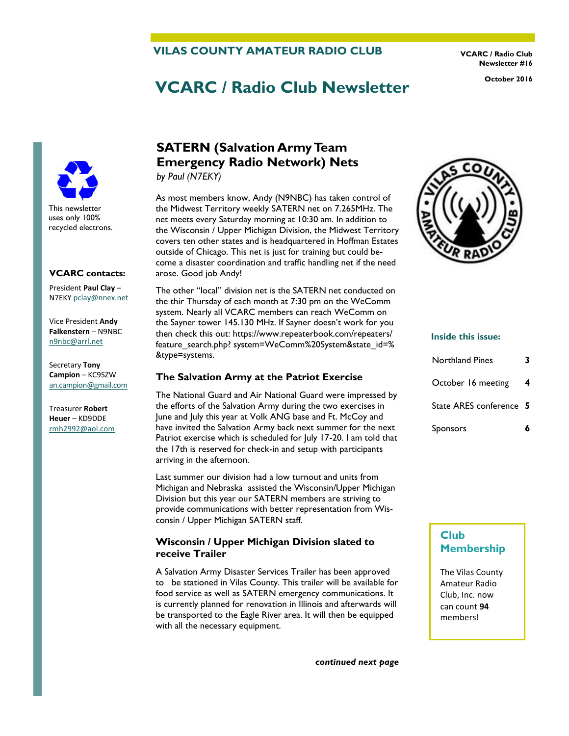### **VILAS COUNTY AMATEUR RADIO CLUB**

**VCARC / Radio Club Newsletter #16** 

# **VCARC / Radio Club Newsletter October 2016**



#### **VCARC contacts:**

President **Paul Clay** – N7EKY [pclay@nnex.net](mailto:pclay@nnex.net)

Vice President **Andy Falkenstern** – N9NBC [n9nbc@arrl.net](mailto:n9nbc@arrl.net)

Secretary **Tony Campion** – KC9SZW [an.campion@gmail.com](mailto:an.campion@gmail.com)

Treasurer **Robert Heuer** – KD9DDE rmh2992@aol.com

# **SATERN (Salvation Army Team Emergency Radio Network) Nets**

*by Paul (N7EKY)*

As most members know, Andy (N9NBC) has taken control of the Midwest Territory weekly SATERN net on 7.265MHz. The net meets every Saturday morning at 10:30 am. In addition to the Wisconsin / Upper Michigan Division, the Midwest Territory covers ten other states and is headquartered in Hoffman Estates outside of Chicago. This net is just for training but could become a disaster coordination and traffic handling net if the need arose. Good job Andy!

The other "local" division net is the SATERN net conducted on the thir Thursday of each month at 7:30 pm on the WeComm system. Nearly all VCARC members can reach WeComm on the Sayner tower 145.130 MHz. If Sayner doesn't work for you then check this out: https://www.repeaterbook.com/repeaters/ feature search.php? system=WeComm%20System&state\_id=% &type=systems.

#### **The Salvation Army at the Patriot Exercise**

The National Guard and Air National Guard were impressed by the efforts of the Salvation Army during the two exercises in June and July this year at Volk ANG base and Ft. McCoy and have invited the Salvation Army back next summer for the next Patriot exercise which is scheduled for July 17-20. I am told that the 17th is reserved for check-in and setup with participants arriving in the afternoon.

Last summer our division had a low turnout and units from Michigan and Nebraska assisted the Wisconsin/Upper Michigan Division but this year our SATERN members are striving to provide communications with better representation from Wisconsin / Upper Michigan SATERN staff.

#### **Wisconsin / Upper Michigan Division slated to receive Trailer**

A Salvation Army Disaster Services Trailer has been approved to be stationed in Vilas County. This trailer will be available for food service as well as SATERN emergency communications. It is currently planned for renovation in Illinois and afterwards will be transported to the Eagle River area. It will then be equipped with all the necessary equipment.





#### **Inside this issue:**

| Northland Pines         |   |
|-------------------------|---|
| October 16 meeting      | 4 |
| State ARES conference 5 |   |
| <b>Sponsors</b>         |   |

### **Club Membership**

The Vilas County Amateur Radio Club, Inc. now can count **94** members!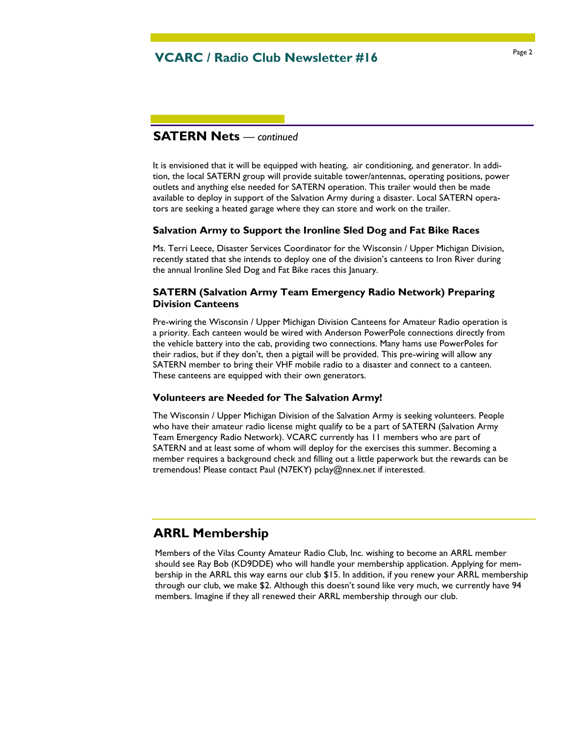# Page 2 **VCARC / Radio Club Newsletter #16**

### **SATERN Nets** *— continued*

It is envisioned that it will be equipped with heating, air conditioning, and generator. In addition, the local SATERN group will provide suitable tower/antennas, operating positions, power outlets and anything else needed for SATERN operation. This trailer would then be made available to deploy in support of the Salvation Army during a disaster. Local SATERN operators are seeking a heated garage where they can store and work on the trailer.

#### **Salvation Army to Support the Ironline Sled Dog and Fat Bike Races**

Ms. Terri Leece, Disaster Services Coordinator for the Wisconsin / Upper Michigan Division, recently stated that she intends to deploy one of the division's canteens to Iron River during the annual Ironline Sled Dog and Fat Bike races this January.

### **SATERN (Salvation Army Team Emergency Radio Network) Preparing Division Canteens**

Pre-wiring the Wisconsin / Upper Michigan Division Canteens for Amateur Radio operation is a priority. Each canteen would be wired with Anderson PowerPole connections directly from the vehicle battery into the cab, providing two connections. Many hams use PowerPoles for their radios, but if they don't, then a pigtail will be provided. This pre-wiring will allow any SATERN member to bring their VHF mobile radio to a disaster and connect to a canteen. These canteens are equipped with their own generators.

#### **Volunteers are Needed for The Salvation Army!**

The Wisconsin / Upper Michigan Division of the Salvation Army is seeking volunteers. People who have their amateur radio license might qualify to be a part of SATERN (Salvation Army Team Emergency Radio Network). VCARC currently has 11 members who are part of SATERN and at least some of whom will deploy for the exercises this summer. Becoming a member requires a background check and filling out a little paperwork but the rewards can be tremendous! Please contact Paul (N7EKY) pclay@nnex.net if interested.

### **ARRL Membership**

Members of the Vilas County Amateur Radio Club, Inc. wishing to become an ARRL member should see Ray Bob (KD9DDE) who will handle your membership application. Applying for membership in the ARRL this way earns our club \$15. In addition, if you renew your ARRL membership through our club, we make \$2. Although this doesn't sound like very much, we currently have 94 members. Imagine if they all renewed their ARRL membership through our club.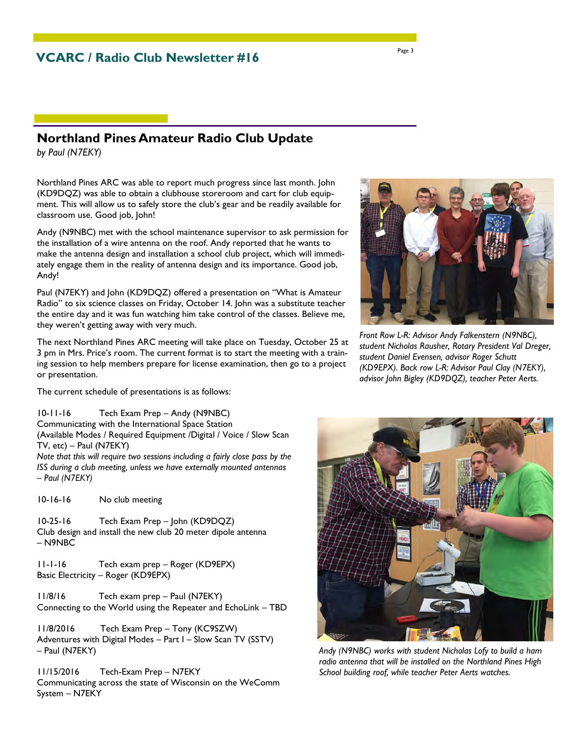### **Northland Pines Amateur Radio Club Update**

*by Paul (N7EKY)*

Northland Pines ARC was able to report much progress since last month. John (KD9DQZ) was able to obtain a clubhouse storeroom and cart for club equipment. This will allow us to safely store the club's gear and be readily available for classroom use. Good job, John!

Andy (N9NBC) met with the school maintenance supervisor to ask permission for the installation of a wire antenna on the roof. Andy reported that he wants to make the antenna design and installation a school club project, which will immediately engage them in the reality of antenna design and its importance. Good job, Andy!

Paul (N7EKY) and John (KD9DQZ) offered a presentation on "What is Amateur Radio" to six science classes on Friday, October 14. John was a substitute teacher the entire day and it was fun watching him take control of the classes. Believe me, they weren't getting away with very much.

The next Northland Pines ARC meeting will take place on Tuesday, October 25 at 3 pm in Mrs. Price's room. The current format is to start the meeting with a training session to help members prepare for license examination, then go to a project or presentation.

The current schedule of presentations is as follows:

10-11-16 Tech Exam Prep – Andy (N9NBC) Communicating with the International Space Station (Available Modes / Required Equipment /Digital / Voice / Slow Scan TV, etc) – Paul (N7EKY) *Note that this will require two sessions including a fairly close pass by the ISS during a club meeting, unless we have externally mounted antennas – Paul (N7EKY)* 

10-16-16 No club meeting

10-25-16 Tech Exam Prep – John (KD9DQZ) Club design and install the new club 20 meter dipole antenna – N9NBC

11-1-16 Tech exam prep – Roger (KD9EPX) Basic Electricity – Roger (KD9EPX)

11/8/16 Tech exam prep – Paul (N7EKY) Connecting to the World using the Repeater and EchoLink – TBD

11/8/2016 Tech Exam Prep – Tony (KC9SZW) Adventures with Digital Modes – Part I – Slow Scan TV (SSTV) – Paul (N7EKY)

11/15/2016 Tech-Exam Prep – N7EKY Communicating across the state of Wisconsin on the WeComm System – N7EKY

*Front Row L-R: Advisor Andy Falkenstern (N9NBC), student Nicholas Rausher, Rotary President Val Dreger, student Daniel Evensen, advisor Roger Schutt (KD9EPX). Back row L-R: Advisor Paul Clay (N7EKY), advisor John Bigley (KD9DQZ), teacher Peter Aerts.* 

*Andy (N9NBC) works with student Nicholas Lofy to build a ham radio antenna that will be installed on the Northland Pines High School building roof, while teacher Peter Aerts watches.* 





Page 3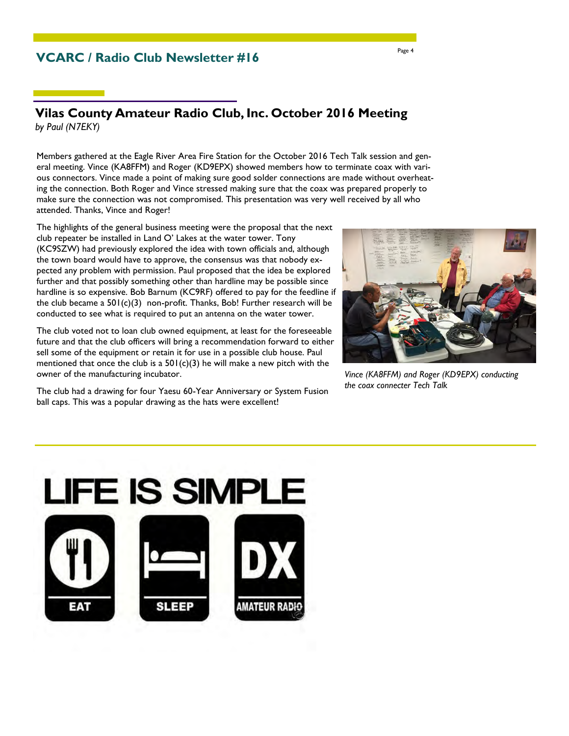### **VCARC / Radio Club Newsletter #16**

### **Vilas County Amateur Radio Club, Inc. October 2016 Meeting**  *by Paul (N7EKY)*

Members gathered at the Eagle River Area Fire Station for the October 2016 Tech Talk session and general meeting. Vince (KA8FFM) and Roger (KD9EPX) showed members how to terminate coax with various connectors. Vince made a point of making sure good solder connections are made without overheating the connection. Both Roger and Vince stressed making sure that the coax was prepared properly to make sure the connection was not compromised. This presentation was very well received by all who attended. Thanks, Vince and Roger!

The highlights of the general business meeting were the proposal that the next club repeater be installed in Land O' Lakes at the water tower. Tony (KC9SZW) had previously explored the idea with town officials and, although the town board would have to approve, the consensus was that nobody expected any problem with permission. Paul proposed that the idea be explored further and that possibly something other than hardline may be possible since hardline is so expensive. Bob Barnum (KC9RF) offered to pay for the feedline if the club became a  $501(c)(3)$  non-profit. Thanks, Bob! Further research will be conducted to see what is required to put an antenna on the water tower.

The club voted not to loan club owned equipment, at least for the foreseeable future and that the club officers will bring a recommendation forward to either sell some of the equipment or retain it for use in a possible club house. Paul mentioned that once the club is a  $501(c)(3)$  he will make a new pitch with the owner of the manufacturing incubator.

The club had a drawing for four Yaesu 60-Year Anniversary or System Fusion ball caps. This was a popular drawing as the hats were excellent!



*Vince (KA8FFM) and Roger (KD9EPX) conducting the coax connecter Tech Talk* 



Page 4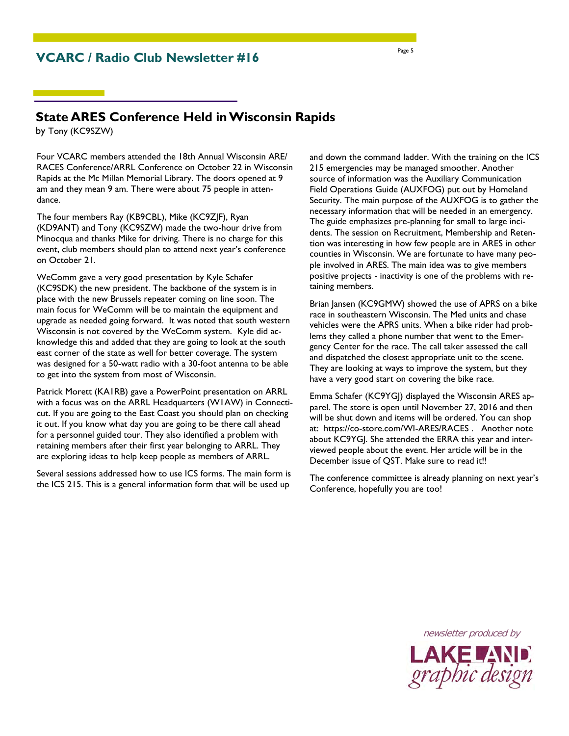### **VCARC / Radio Club Newsletter #16**

## **State ARES Conference Held in Wisconsin Rapids**

by Tony (KC9SZW)

Four VCARC members attended the 18th Annual Wisconsin ARE/ RACES Conference/ARRL Conference on October 22 in Wisconsin Rapids at the Mc Millan Memorial Library. The doors opened at 9 am and they mean 9 am. There were about 75 people in attendance.

The four members Ray (KB9CBL), Mike (KC9ZJF), Ryan (KD9ANT) and Tony (KC9SZW) made the two-hour drive from Minocqua and thanks Mike for driving. There is no charge for this event, club members should plan to attend next year's conference on October 21.

WeComm gave a very good presentation by Kyle Schafer (KC9SDK) the new president. The backbone of the system is in place with the new Brussels repeater coming on line soon. The main focus for WeComm will be to maintain the equipment and upgrade as needed going forward. It was noted that south western Wisconsin is not covered by the WeComm system. Kyle did acknowledge this and added that they are going to look at the south east corner of the state as well for better coverage. The system was designed for a 50-watt radio with a 30-foot antenna to be able to get into the system from most of Wisconsin.

Patrick Morett (KA1RB) gave a PowerPoint presentation on ARRL with a focus was on the ARRL Headquarters (W1AW) in Connecticut. If you are going to the East Coast you should plan on checking it out. If you know what day you are going to be there call ahead for a personnel guided tour. They also identified a problem with retaining members after their first year belonging to ARRL. They are exploring ideas to help keep people as members of ARRL.

Several sessions addressed how to use ICS forms. The main form is the ICS 215. This is a general information form that will be used up

and down the command ladder. With the training on the ICS 215 emergencies may be managed smoother. Another source of information was the Auxiliary Communication Field Operations Guide (AUXFOG) put out by Homeland Security. The main purpose of the AUXFOG is to gather the necessary information that will be needed in an emergency. The guide emphasizes pre-planning for small to large incidents. The session on Recruitment, Membership and Retention was interesting in how few people are in ARES in other counties in Wisconsin. We are fortunate to have many people involved in ARES. The main idea was to give members positive projects - inactivity is one of the problems with retaining members.

Brian Jansen (KC9GMW) showed the use of APRS on a bike race in southeastern Wisconsin. The Med units and chase vehicles were the APRS units. When a bike rider had problems they called a phone number that went to the Emergency Center for the race. The call taker assessed the call and dispatched the closest appropriate unit to the scene. They are looking at ways to improve the system, but they have a very good start on covering the bike race.

Emma Schafer (KC9YGJ) displayed the Wisconsin ARES apparel. The store is open until November 27, 2016 and then will be shut down and items will be ordered. You can shop at: https://co-store.com/WI-ARES/RACES . Another note about KC9YGJ. She attended the ERRA this year and interviewed people about the event. Her article will be in the December issue of QST. Make sure to read it!!

The conference committee is already planning on next year's Conference, hopefully you are too!

> newsletter produced by LAKE AND<br>graphic design